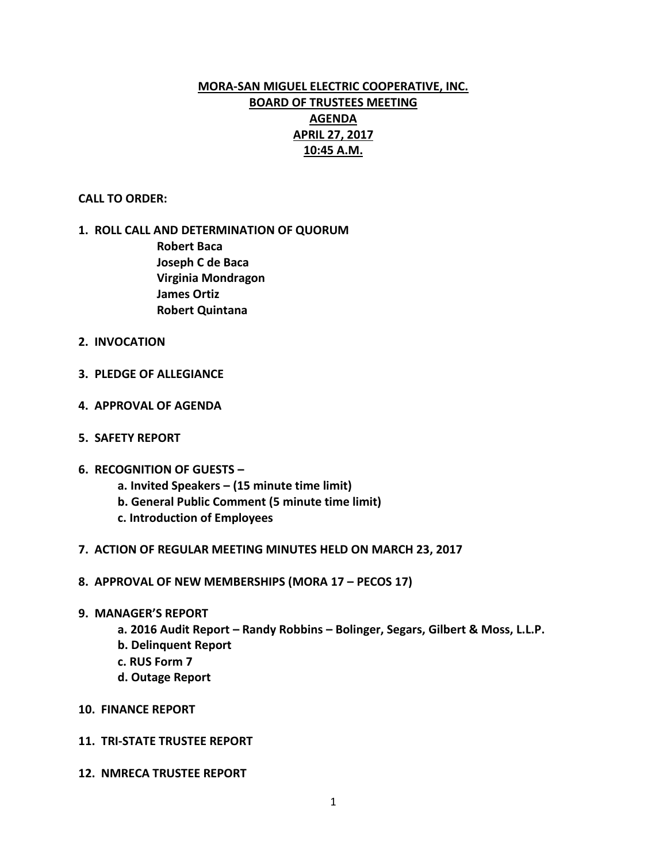# **MORA-SAN MIGUEL ELECTRIC COOPERATIVE, INC. BOARD OF TRUSTEES MEETING AGENDA APRIL 27, 2017 10:45 A.M.**

### **CALL TO ORDER:**

## **1. ROLL CALL AND DETERMINATION OF QUORUM Robert Baca Joseph C de Baca Virginia Mondragon James Ortiz Robert Quintana**

- **2. INVOCATION**
- **3. PLEDGE OF ALLEGIANCE**
- **4. APPROVAL OF AGENDA**
- **5. SAFETY REPORT**
- **6. RECOGNITION OF GUESTS –**
	- **a. Invited Speakers – (15 minute time limit)**
	- **b. General Public Comment (5 minute time limit)**
	- **c. Introduction of Employees**
- **7. ACTION OF REGULAR MEETING MINUTES HELD ON MARCH 23, 2017**
- **8. APPROVAL OF NEW MEMBERSHIPS (MORA 17 – PECOS 17)**
- **9. MANAGER'S REPORT**
	- **a. 2016 Audit Report – Randy Robbins – Bolinger, Segars, Gilbert & Moss, L.L.P.**
	- **b. Delinquent Report**
	- **c. RUS Form 7**
	- **d. Outage Report**
- **10. FINANCE REPORT**
- **11. TRI-STATE TRUSTEE REPORT**
- **12. NMRECA TRUSTEE REPORT**